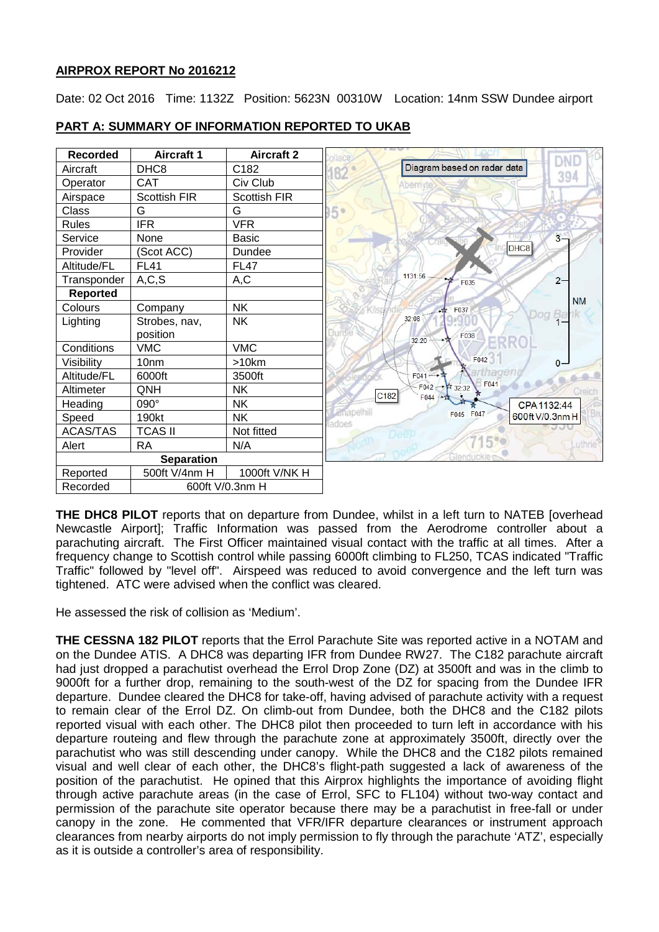## **AIRPROX REPORT No 2016212**

Date: 02 Oct 2016 Time: 1132Z Position: 5623N 00310W Location: 14nm SSW Dundee airport



**PART A: SUMMARY OF INFORMATION REPORTED TO UKAB**

**THE DHC8 PILOT** reports that on departure from Dundee, whilst in a left turn to NATEB [overhead Newcastle Airport]; Traffic Information was passed from the Aerodrome controller about a parachuting aircraft. The First Officer maintained visual contact with the traffic at all times. After a frequency change to Scottish control while passing 6000ft climbing to FL250, TCAS indicated "Traffic Traffic" followed by "level off". Airspeed was reduced to avoid convergence and the left turn was tightened. ATC were advised when the conflict was cleared.

He assessed the risk of collision as 'Medium'.

**THE CESSNA 182 PILOT** reports that the Errol Parachute Site was reported active in a NOTAM and on the Dundee ATIS. A DHC8 was departing IFR from Dundee RW27. The C182 parachute aircraft had just dropped a parachutist overhead the Errol Drop Zone (DZ) at 3500ft and was in the climb to 9000ft for a further drop, remaining to the south-west of the DZ for spacing from the Dundee IFR departure. Dundee cleared the DHC8 for take-off, having advised of parachute activity with a request to remain clear of the Errol DZ. On climb-out from Dundee, both the DHC8 and the C182 pilots reported visual with each other. The DHC8 pilot then proceeded to turn left in accordance with his departure routeing and flew through the parachute zone at approximately 3500ft, directly over the parachutist who was still descending under canopy. While the DHC8 and the C182 pilots remained visual and well clear of each other, the DHC8's flight-path suggested a lack of awareness of the position of the parachutist. He opined that this Airprox highlights the importance of avoiding flight through active parachute areas (in the case of Errol, SFC to FL104) without two-way contact and permission of the parachute site operator because there may be a parachutist in free-fall or under canopy in the zone. He commented that VFR/IFR departure clearances or instrument approach clearances from nearby airports do not imply permission to fly through the parachute 'ATZ', especially as it is outside a controller's area of responsibility.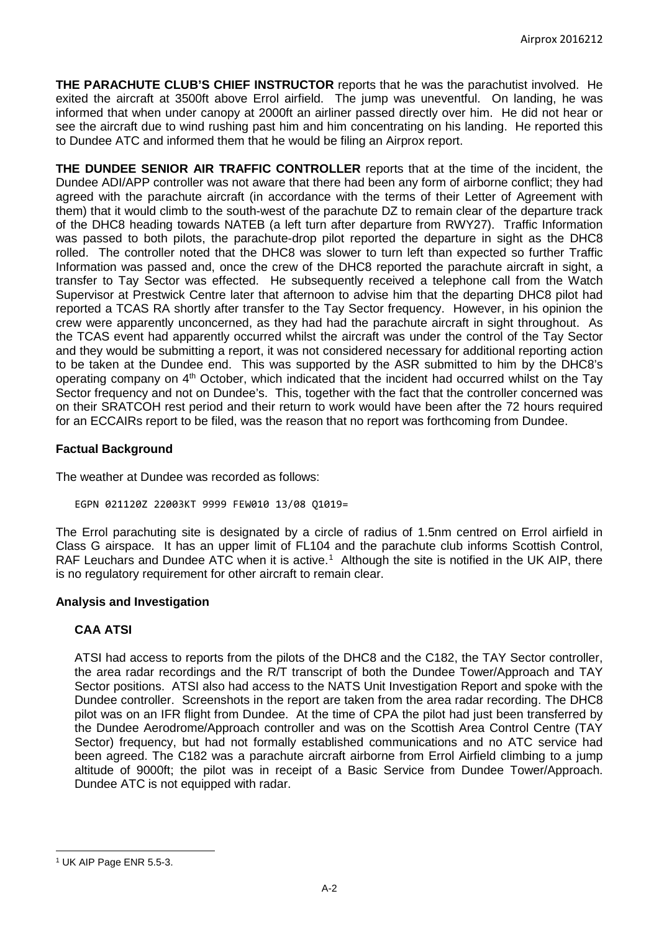**THE PARACHUTE CLUB'S CHIEF INSTRUCTOR** reports that he was the parachutist involved. He exited the aircraft at 3500ft above Errol airfield. The jump was uneventful. On landing, he was informed that when under canopy at 2000ft an airliner passed directly over him. He did not hear or see the aircraft due to wind rushing past him and him concentrating on his landing. He reported this to Dundee ATC and informed them that he would be filing an Airprox report.

**THE DUNDEE SENIOR AIR TRAFFIC CONTROLLER** reports that at the time of the incident, the Dundee ADI/APP controller was not aware that there had been any form of airborne conflict; they had agreed with the parachute aircraft (in accordance with the terms of their Letter of Agreement with them) that it would climb to the south-west of the parachute DZ to remain clear of the departure track of the DHC8 heading towards NATEB (a left turn after departure from RWY27). Traffic Information was passed to both pilots, the parachute-drop pilot reported the departure in sight as the DHC8 rolled. The controller noted that the DHC8 was slower to turn left than expected so further Traffic Information was passed and, once the crew of the DHC8 reported the parachute aircraft in sight, a transfer to Tay Sector was effected. He subsequently received a telephone call from the Watch Supervisor at Prestwick Centre later that afternoon to advise him that the departing DHC8 pilot had reported a TCAS RA shortly after transfer to the Tay Sector frequency. However, in his opinion the crew were apparently unconcerned, as they had had the parachute aircraft in sight throughout. As the TCAS event had apparently occurred whilst the aircraft was under the control of the Tay Sector and they would be submitting a report, it was not considered necessary for additional reporting action to be taken at the Dundee end. This was supported by the ASR submitted to him by the DHC8's operating company on 4<sup>th</sup> October, which indicated that the incident had occurred whilst on the Tay Sector frequency and not on Dundee's. This, together with the fact that the controller concerned was on their SRATCOH rest period and their return to work would have been after the 72 hours required for an ECCAIRs report to be filed, was the reason that no report was forthcoming from Dundee.

## **Factual Background**

The weather at Dundee was recorded as follows:

EGPN 021120Z 22003KT 9999 FEW010 13/08 Q1019=

The Errol parachuting site is designated by a circle of radius of 1.5nm centred on Errol airfield in Class G airspace. It has an upper limit of FL104 and the parachute club informs Scottish Control, RAF Leuchars and Dundee ATC when it is active.<sup>[1](#page-1-0)</sup> Although the site is notified in the UK AIP, there is no regulatory requirement for other aircraft to remain clear.

## **Analysis and Investigation**

## **CAA ATSI**

ATSI had access to reports from the pilots of the DHC8 and the C182, the TAY Sector controller, the area radar recordings and the R/T transcript of both the Dundee Tower/Approach and TAY Sector positions. ATSI also had access to the NATS Unit Investigation Report and spoke with the Dundee controller. Screenshots in the report are taken from the area radar recording. The DHC8 pilot was on an IFR flight from Dundee. At the time of CPA the pilot had just been transferred by the Dundee Aerodrome/Approach controller and was on the Scottish Area Control Centre (TAY Sector) frequency, but had not formally established communications and no ATC service had been agreed. The C182 was a parachute aircraft airborne from Errol Airfield climbing to a jump altitude of 9000ft; the pilot was in receipt of a Basic Service from Dundee Tower/Approach. Dundee ATC is not equipped with radar.

 $\overline{\phantom{a}}$ 

<span id="page-1-0"></span><sup>1</sup> UK AIP Page ENR 5.5-3.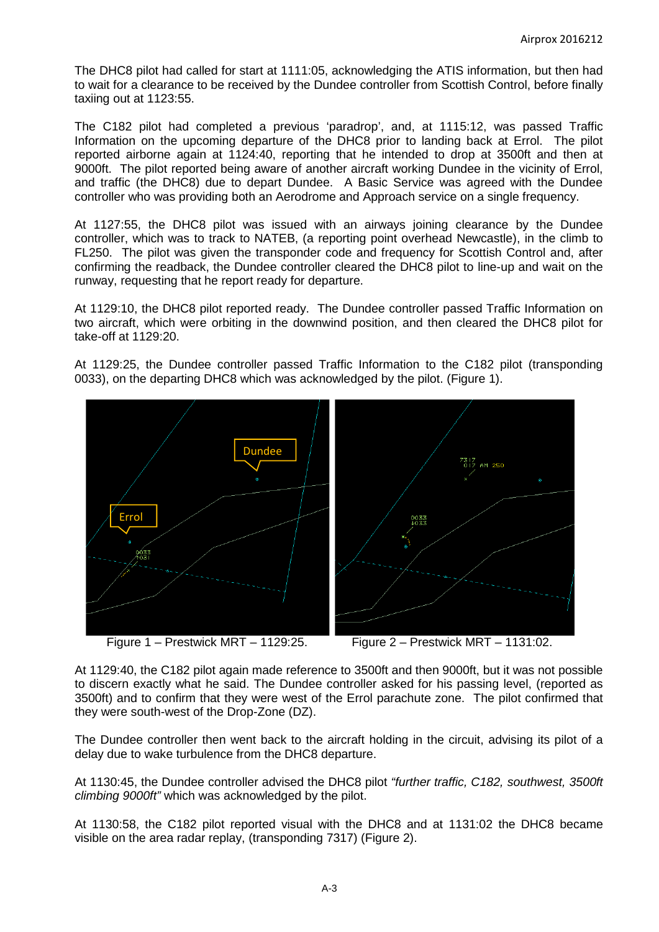The DHC8 pilot had called for start at 1111:05, acknowledging the ATIS information, but then had to wait for a clearance to be received by the Dundee controller from Scottish Control, before finally taxiing out at 1123:55.

The C182 pilot had completed a previous 'paradrop', and, at 1115:12, was passed Traffic Information on the upcoming departure of the DHC8 prior to landing back at Errol. The pilot reported airborne again at 1124:40, reporting that he intended to drop at 3500ft and then at 9000ft. The pilot reported being aware of another aircraft working Dundee in the vicinity of Errol, and traffic (the DHC8) due to depart Dundee. A Basic Service was agreed with the Dundee controller who was providing both an Aerodrome and Approach service on a single frequency.

At 1127:55, the DHC8 pilot was issued with an airways joining clearance by the Dundee controller, which was to track to NATEB, (a reporting point overhead Newcastle), in the climb to FL250. The pilot was given the transponder code and frequency for Scottish Control and, after confirming the readback, the Dundee controller cleared the DHC8 pilot to line-up and wait on the runway, requesting that he report ready for departure.

At 1129:10, the DHC8 pilot reported ready. The Dundee controller passed Traffic Information on two aircraft, which were orbiting in the downwind position, and then cleared the DHC8 pilot for take-off at 1129:20.

At 1129:25, the Dundee controller passed Traffic Information to the C182 pilot (transponding 0033), on the departing DHC8 which was acknowledged by the pilot. (Figure 1).



Figure  $1 -$  Prestwick MRT – 1129:25. Figure  $2 -$  Prestwick MRT – 1131:02.

At 1129:40, the C182 pilot again made reference to 3500ft and then 9000ft, but it was not possible to discern exactly what he said. The Dundee controller asked for his passing level, (reported as 3500ft) and to confirm that they were west of the Errol parachute zone. The pilot confirmed that they were south-west of the Drop-Zone (DZ).

The Dundee controller then went back to the aircraft holding in the circuit, advising its pilot of a delay due to wake turbulence from the DHC8 departure.

At 1130:45, the Dundee controller advised the DHC8 pilot *"further traffic, C182, southwest, 3500ft climbing 9000ft"* which was acknowledged by the pilot.

At 1130:58, the C182 pilot reported visual with the DHC8 and at 1131:02 the DHC8 became visible on the area radar replay, (transponding 7317) (Figure 2).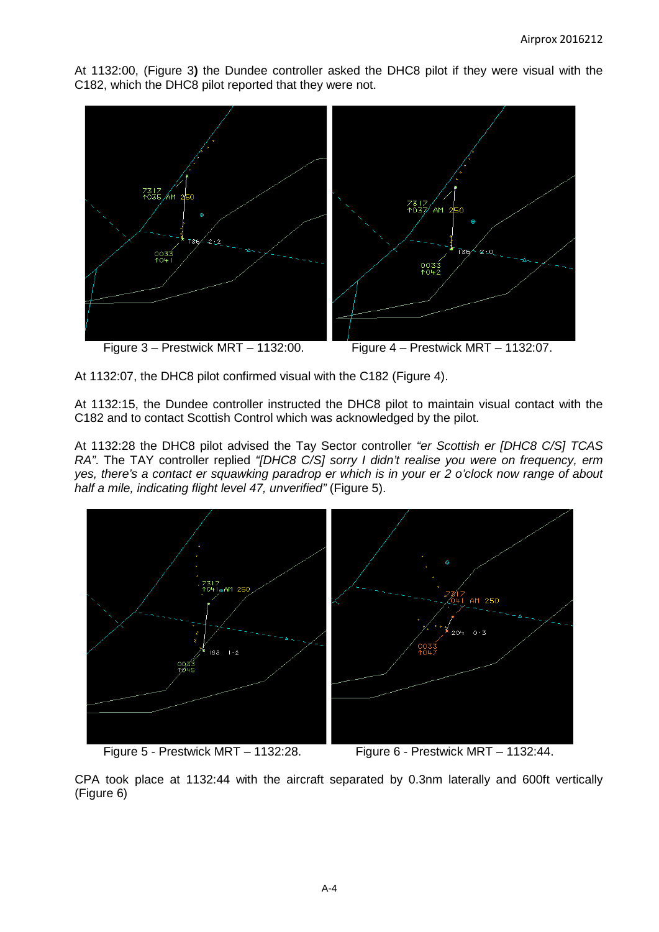At 1132:00, (Figure 3**)** the Dundee controller asked the DHC8 pilot if they were visual with the C182, which the DHC8 pilot reported that they were not.



At 1132:07, the DHC8 pilot confirmed visual with the C182 (Figure 4).

At 1132:15, the Dundee controller instructed the DHC8 pilot to maintain visual contact with the C182 and to contact Scottish Control which was acknowledged by the pilot.

At 1132:28 the DHC8 pilot advised the Tay Sector controller *"er Scottish er [DHC8 C/S] TCAS RA"*. The TAY controller replied *"[DHC8 C/S] sorry I didn't realise you were on frequency, erm yes, there's a contact er squawking paradrop er which is in your er 2 o'clock now range of about half a mile, indicating flight level 47, unverified"* (Figure 5).



CPA took place at 1132:44 with the aircraft separated by 0.3nm laterally and 600ft vertically (Figure 6)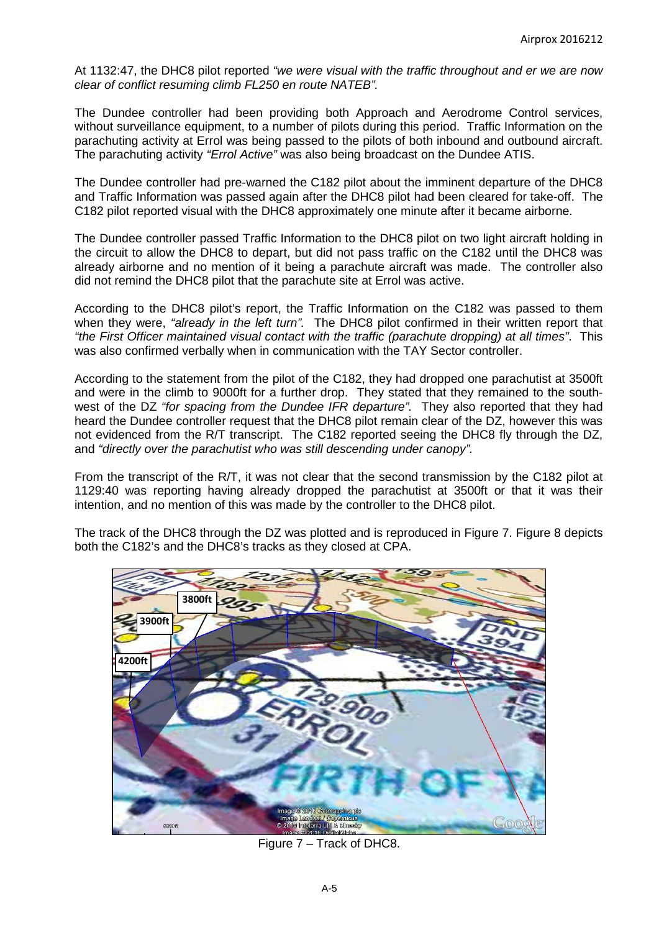At 1132:47, the DHC8 pilot reported *"we were visual with the traffic throughout and er we are now clear of conflict resuming climb FL250 en route NATEB".*

The Dundee controller had been providing both Approach and Aerodrome Control services, without surveillance equipment, to a number of pilots during this period. Traffic Information on the parachuting activity at Errol was being passed to the pilots of both inbound and outbound aircraft. The parachuting activity *"Errol Active"* was also being broadcast on the Dundee ATIS.

The Dundee controller had pre-warned the C182 pilot about the imminent departure of the DHC8 and Traffic Information was passed again after the DHC8 pilot had been cleared for take-off. The C182 pilot reported visual with the DHC8 approximately one minute after it became airborne.

The Dundee controller passed Traffic Information to the DHC8 pilot on two light aircraft holding in the circuit to allow the DHC8 to depart, but did not pass traffic on the C182 until the DHC8 was already airborne and no mention of it being a parachute aircraft was made. The controller also did not remind the DHC8 pilot that the parachute site at Errol was active.

According to the DHC8 pilot's report, the Traffic Information on the C182 was passed to them when they were, *"already in the left turn".* The DHC8 pilot confirmed in their written report that *"the First Officer maintained visual contact with the traffic (parachute dropping) at all times"*. This was also confirmed verbally when in communication with the TAY Sector controller.

According to the statement from the pilot of the C182, they had dropped one parachutist at 3500ft and were in the climb to 9000ft for a further drop. They stated that they remained to the southwest of the DZ *"for spacing from the Dundee IFR departure".* They also reported that they had heard the Dundee controller request that the DHC8 pilot remain clear of the DZ, however this was not evidenced from the R/T transcript. The C182 reported seeing the DHC8 fly through the DZ, and *"directly over the parachutist who was still descending under canopy".*

From the transcript of the R/T, it was not clear that the second transmission by the C182 pilot at 1129:40 was reporting having already dropped the parachutist at 3500ft or that it was their intention, and no mention of this was made by the controller to the DHC8 pilot.

The track of the DHC8 through the DZ was plotted and is reproduced in Figure 7. Figure 8 depicts both the C182's and the DHC8's tracks as they closed at CPA.



Figure 7 – Track of DHC8.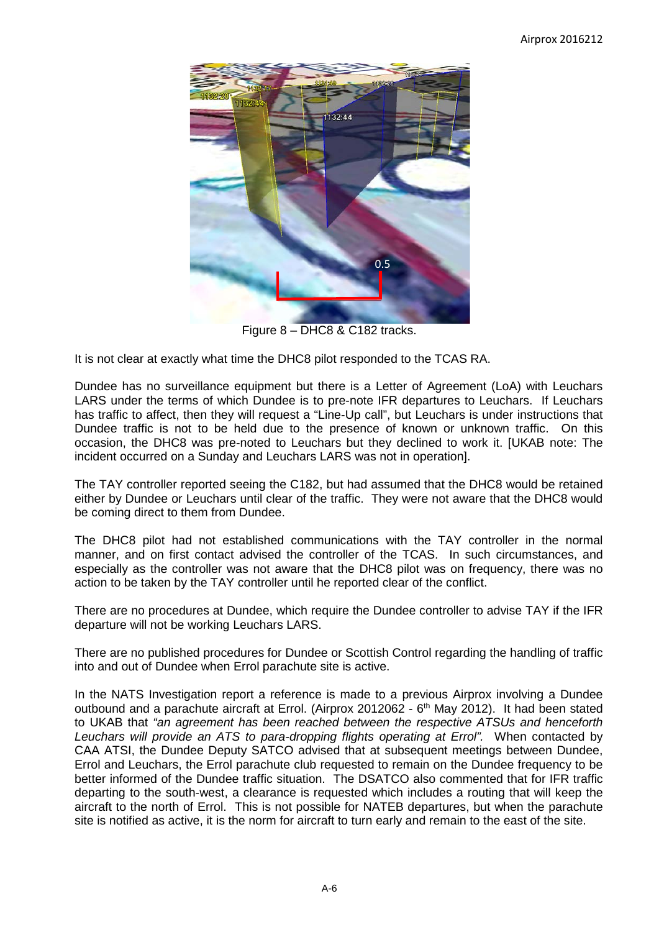

Figure 8 – DHC8 & C182 tracks.

It is not clear at exactly what time the DHC8 pilot responded to the TCAS RA.

Dundee has no surveillance equipment but there is a Letter of Agreement (LoA) with Leuchars LARS under the terms of which Dundee is to pre-note IFR departures to Leuchars. If Leuchars has traffic to affect, then they will request a "Line-Up call", but Leuchars is under instructions that Dundee traffic is not to be held due to the presence of known or unknown traffic. On this occasion, the DHC8 was pre-noted to Leuchars but they declined to work it. [UKAB note: The incident occurred on a Sunday and Leuchars LARS was not in operation].

The TAY controller reported seeing the C182, but had assumed that the DHC8 would be retained either by Dundee or Leuchars until clear of the traffic. They were not aware that the DHC8 would be coming direct to them from Dundee.

The DHC8 pilot had not established communications with the TAY controller in the normal manner, and on first contact advised the controller of the TCAS. In such circumstances, and especially as the controller was not aware that the DHC8 pilot was on frequency, there was no action to be taken by the TAY controller until he reported clear of the conflict.

There are no procedures at Dundee, which require the Dundee controller to advise TAY if the IFR departure will not be working Leuchars LARS.

There are no published procedures for Dundee or Scottish Control regarding the handling of traffic into and out of Dundee when Errol parachute site is active.

In the NATS Investigation report a reference is made to a previous Airprox involving a Dundee outbound and a parachute aircraft at Errol. (Airprox 2012062 -  $6<sup>th</sup>$  May 2012). It had been stated to UKAB that *"an agreement has been reached between the respective ATSUs and henceforth Leuchars will provide an ATS to para-dropping flights operating at Errol".* When contacted by CAA ATSI, the Dundee Deputy SATCO advised that at subsequent meetings between Dundee, Errol and Leuchars, the Errol parachute club requested to remain on the Dundee frequency to be better informed of the Dundee traffic situation. The DSATCO also commented that for IFR traffic departing to the south-west, a clearance is requested which includes a routing that will keep the aircraft to the north of Errol. This is not possible for NATEB departures, but when the parachute site is notified as active, it is the norm for aircraft to turn early and remain to the east of the site.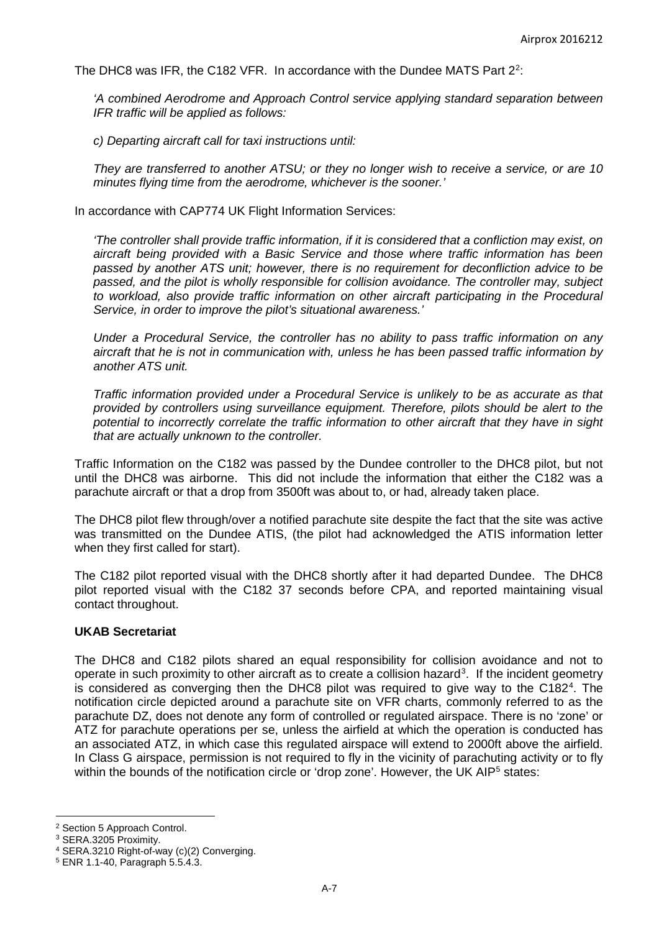The DHC8 was IFR, the C18[2](#page-6-0) VFR. In accordance with the Dundee MATS Part  $2^2$ :

*'A combined Aerodrome and Approach Control service applying standard separation between IFR traffic will be applied as follows:* 

*c) Departing aircraft call for taxi instructions until:* 

*They are transferred to another ATSU; or they no longer wish to receive a service, or are 10 minutes flying time from the aerodrome, whichever is the sooner.'*

In accordance with CAP774 UK Flight Information Services:

*'The controller shall provide traffic information, if it is considered that a confliction may exist, on aircraft being provided with a Basic Service and those where traffic information has been passed by another ATS unit; however, there is no requirement for deconfliction advice to be passed, and the pilot is wholly responsible for collision avoidance. The controller may, subject to workload, also provide traffic information on other aircraft participating in the Procedural Service, in order to improve the pilot's situational awareness.'* 

*Under a Procedural Service, the controller has no ability to pass traffic information on any aircraft that he is not in communication with, unless he has been passed traffic information by another ATS unit.* 

*Traffic information provided under a Procedural Service is unlikely to be as accurate as that provided by controllers using surveillance equipment. Therefore, pilots should be alert to the potential to incorrectly correlate the traffic information to other aircraft that they have in sight that are actually unknown to the controller.*

Traffic Information on the C182 was passed by the Dundee controller to the DHC8 pilot, but not until the DHC8 was airborne. This did not include the information that either the C182 was a parachute aircraft or that a drop from 3500ft was about to, or had, already taken place.

The DHC8 pilot flew through/over a notified parachute site despite the fact that the site was active was transmitted on the Dundee ATIS, (the pilot had acknowledged the ATIS information letter when they first called for start).

The C182 pilot reported visual with the DHC8 shortly after it had departed Dundee. The DHC8 pilot reported visual with the C182 37 seconds before CPA, and reported maintaining visual contact throughout.

## **UKAB Secretariat**

The DHC8 and C182 pilots shared an equal responsibility for collision avoidance and not to operate in such proximity to other aircraft as to create a collision hazard<sup>[3](#page-6-1)</sup>. If the incident geometry is considered as converging then the DHC8 pilot was required to give way to the C182<sup>[4](#page-6-2)</sup>. The notification circle depicted around a parachute site on VFR charts, commonly referred to as the parachute DZ, does not denote any form of controlled or regulated airspace. There is no 'zone' or ATZ for parachute operations per se, unless the airfield at which the operation is conducted has an associated ATZ, in which case this regulated airspace will extend to 2000ft above the airfield. In Class G airspace, permission is not required to fly in the vicinity of parachuting activity or to fly within the bounds of the notification circle or 'drop zone'. However, the UK AIP<sup>[5](#page-6-3)</sup> states:

 $\overline{\phantom{a}}$ 

<span id="page-6-0"></span><sup>2</sup> Section 5 Approach Control.

<span id="page-6-1"></span><sup>3</sup> SERA.3205 Proximity.

<span id="page-6-2"></span><sup>4</sup> SERA.3210 Right-of-way (c)(2) Converging.

<span id="page-6-3"></span><sup>5</sup> ENR 1.1-40, Paragraph 5.5.4.3.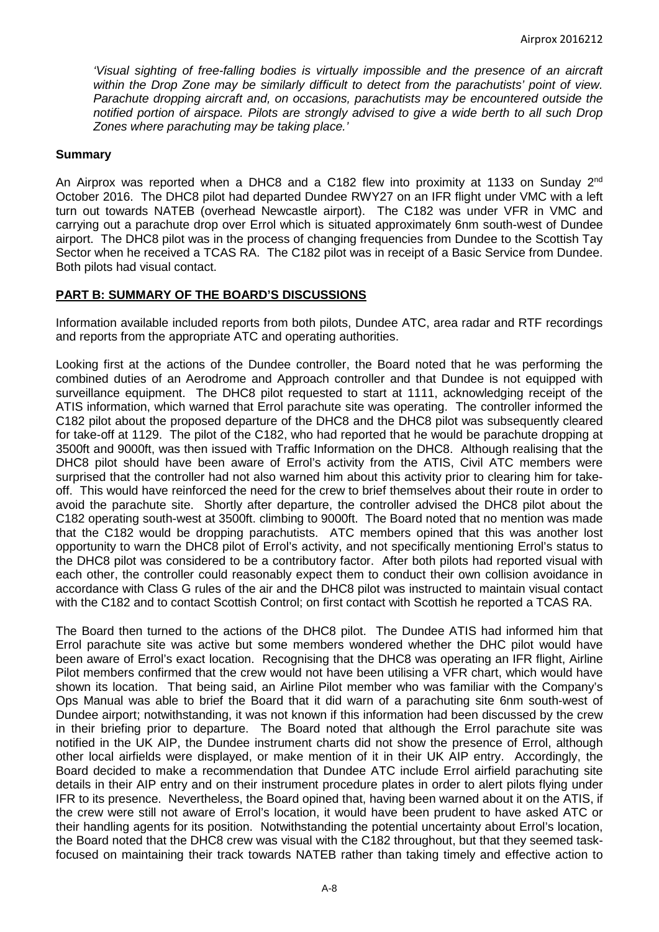*'Visual sighting of free-falling bodies is virtually impossible and the presence of an aircraft within the Drop Zone may be similarly difficult to detect from the parachutists' point of view. Parachute dropping aircraft and, on occasions, parachutists may be encountered outside the notified portion of airspace. Pilots are strongly advised to give a wide berth to all such Drop Zones where parachuting may be taking place.'*

#### **Summary**

An Airprox was reported when a DHC8 and a C182 flew into proximity at 1133 on Sunday 2<sup>nd</sup> October 2016. The DHC8 pilot had departed Dundee RWY27 on an IFR flight under VMC with a left turn out towards NATEB (overhead Newcastle airport). The C182 was under VFR in VMC and carrying out a parachute drop over Errol which is situated approximately 6nm south-west of Dundee airport. The DHC8 pilot was in the process of changing frequencies from Dundee to the Scottish Tay Sector when he received a TCAS RA. The C182 pilot was in receipt of a Basic Service from Dundee. Both pilots had visual contact.

## **PART B: SUMMARY OF THE BOARD'S DISCUSSIONS**

Information available included reports from both pilots, Dundee ATC, area radar and RTF recordings and reports from the appropriate ATC and operating authorities.

Looking first at the actions of the Dundee controller, the Board noted that he was performing the combined duties of an Aerodrome and Approach controller and that Dundee is not equipped with surveillance equipment. The DHC8 pilot requested to start at 1111, acknowledging receipt of the ATIS information, which warned that Errol parachute site was operating. The controller informed the C182 pilot about the proposed departure of the DHC8 and the DHC8 pilot was subsequently cleared for take-off at 1129. The pilot of the C182, who had reported that he would be parachute dropping at 3500ft and 9000ft, was then issued with Traffic Information on the DHC8. Although realising that the DHC8 pilot should have been aware of Errol's activity from the ATIS, Civil ATC members were surprised that the controller had not also warned him about this activity prior to clearing him for takeoff. This would have reinforced the need for the crew to brief themselves about their route in order to avoid the parachute site. Shortly after departure, the controller advised the DHC8 pilot about the C182 operating south-west at 3500ft. climbing to 9000ft. The Board noted that no mention was made that the C182 would be dropping parachutists. ATC members opined that this was another lost opportunity to warn the DHC8 pilot of Errol's activity, and not specifically mentioning Errol's status to the DHC8 pilot was considered to be a contributory factor. After both pilots had reported visual with each other, the controller could reasonably expect them to conduct their own collision avoidance in accordance with Class G rules of the air and the DHC8 pilot was instructed to maintain visual contact with the C182 and to contact Scottish Control; on first contact with Scottish he reported a TCAS RA.

The Board then turned to the actions of the DHC8 pilot. The Dundee ATIS had informed him that Errol parachute site was active but some members wondered whether the DHC pilot would have been aware of Errol's exact location. Recognising that the DHC8 was operating an IFR flight, Airline Pilot members confirmed that the crew would not have been utilising a VFR chart, which would have shown its location. That being said, an Airline Pilot member who was familiar with the Company's Ops Manual was able to brief the Board that it did warn of a parachuting site 6nm south-west of Dundee airport; notwithstanding, it was not known if this information had been discussed by the crew in their briefing prior to departure. The Board noted that although the Errol parachute site was notified in the UK AIP, the Dundee instrument charts did not show the presence of Errol, although other local airfields were displayed, or make mention of it in their UK AIP entry. Accordingly, the Board decided to make a recommendation that Dundee ATC include Errol airfield parachuting site details in their AIP entry and on their instrument procedure plates in order to alert pilots flying under IFR to its presence. Nevertheless, the Board opined that, having been warned about it on the ATIS, if the crew were still not aware of Errol's location, it would have been prudent to have asked ATC or their handling agents for its position. Notwithstanding the potential uncertainty about Errol's location, the Board noted that the DHC8 crew was visual with the C182 throughout, but that they seemed taskfocused on maintaining their track towards NATEB rather than taking timely and effective action to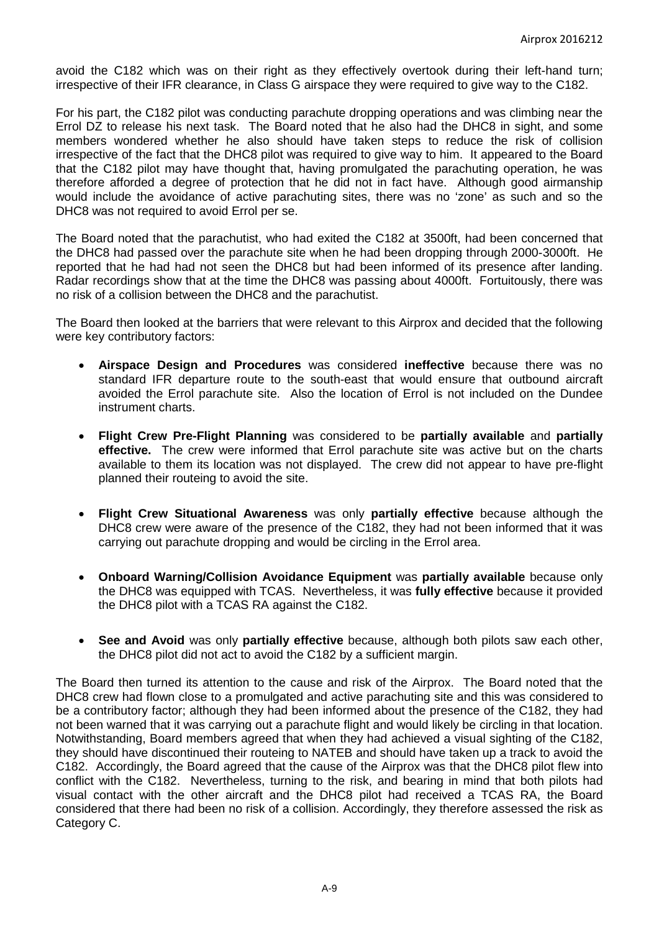avoid the C182 which was on their right as they effectively overtook during their left-hand turn; irrespective of their IFR clearance, in Class G airspace they were required to give way to the C182.

For his part, the C182 pilot was conducting parachute dropping operations and was climbing near the Errol DZ to release his next task. The Board noted that he also had the DHC8 in sight, and some members wondered whether he also should have taken steps to reduce the risk of collision irrespective of the fact that the DHC8 pilot was required to give way to him. It appeared to the Board that the C182 pilot may have thought that, having promulgated the parachuting operation, he was therefore afforded a degree of protection that he did not in fact have. Although good airmanship would include the avoidance of active parachuting sites, there was no 'zone' as such and so the DHC8 was not required to avoid Errol per se.

The Board noted that the parachutist, who had exited the C182 at 3500ft, had been concerned that the DHC8 had passed over the parachute site when he had been dropping through 2000-3000ft. He reported that he had had not seen the DHC8 but had been informed of its presence after landing. Radar recordings show that at the time the DHC8 was passing about 4000ft. Fortuitously, there was no risk of a collision between the DHC8 and the parachutist.

The Board then looked at the barriers that were relevant to this Airprox and decided that the following were key contributory factors:

- **Airspace Design and Procedures** was considered **ineffective** because there was no standard IFR departure route to the south-east that would ensure that outbound aircraft avoided the Errol parachute site. Also the location of Errol is not included on the Dundee instrument charts.
- **Flight Crew Pre-Flight Planning** was considered to be **partially available** and **partially effective.** The crew were informed that Errol parachute site was active but on the charts available to them its location was not displayed. The crew did not appear to have pre-flight planned their routeing to avoid the site.
- **Flight Crew Situational Awareness** was only **partially effective** because although the DHC8 crew were aware of the presence of the C182, they had not been informed that it was carrying out parachute dropping and would be circling in the Errol area.
- **Onboard Warning/Collision Avoidance Equipment** was **partially available** because only the DHC8 was equipped with TCAS. Nevertheless, it was **fully effective** because it provided the DHC8 pilot with a TCAS RA against the C182.
- **See and Avoid** was only **partially effective** because, although both pilots saw each other, the DHC8 pilot did not act to avoid the C182 by a sufficient margin.

The Board then turned its attention to the cause and risk of the Airprox. The Board noted that the DHC8 crew had flown close to a promulgated and active parachuting site and this was considered to be a contributory factor; although they had been informed about the presence of the C182, they had not been warned that it was carrying out a parachute flight and would likely be circling in that location. Notwithstanding, Board members agreed that when they had achieved a visual sighting of the C182, they should have discontinued their routeing to NATEB and should have taken up a track to avoid the C182. Accordingly, the Board agreed that the cause of the Airprox was that the DHC8 pilot flew into conflict with the C182. Nevertheless, turning to the risk, and bearing in mind that both pilots had visual contact with the other aircraft and the DHC8 pilot had received a TCAS RA, the Board considered that there had been no risk of a collision. Accordingly, they therefore assessed the risk as Category C.